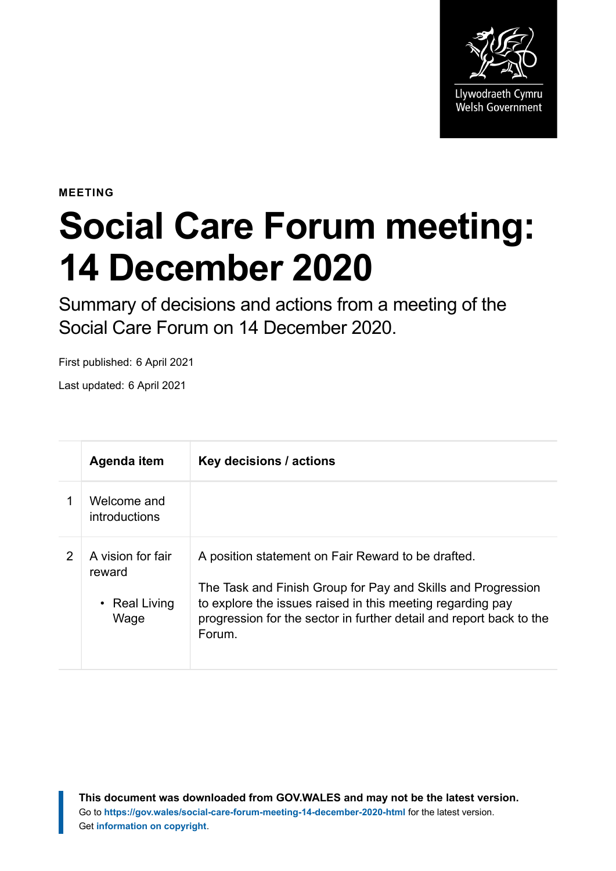

**MEETING**

## **Social Care Forum meeting: 14 December 2020**

Summary of decisions and actions from a meeting of the Social Care Forum on 14 December 2020.

First published: 6 April 2021

Last updated: 6 April 2021

|               | Agenda item                                                | Key decisions / actions                                                                                                                                                                                                                                           |
|---------------|------------------------------------------------------------|-------------------------------------------------------------------------------------------------------------------------------------------------------------------------------------------------------------------------------------------------------------------|
|               | Welcome and<br>introductions                               |                                                                                                                                                                                                                                                                   |
| $\mathcal{P}$ | A vision for fair<br>reward<br>$\cdot$ Real Living<br>Wage | A position statement on Fair Reward to be drafted.<br>The Task and Finish Group for Pay and Skills and Progression<br>to explore the issues raised in this meeting regarding pay<br>progression for the sector in further detail and report back to the<br>Forum. |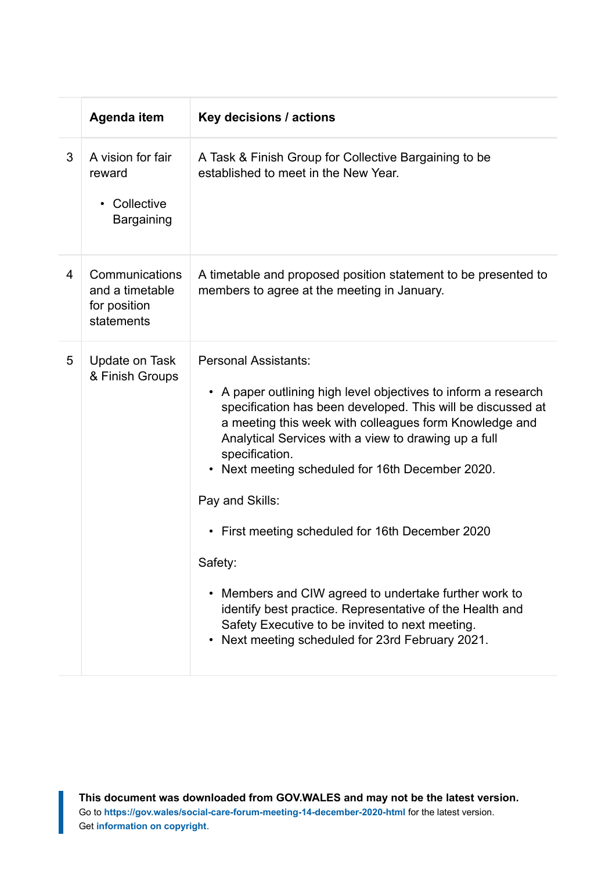|   | Agenda item                                                          | Key decisions / actions                                                                                                                                                                                                                                                                                                                                                                                                                                                                                                                                                                                                                                                                |
|---|----------------------------------------------------------------------|----------------------------------------------------------------------------------------------------------------------------------------------------------------------------------------------------------------------------------------------------------------------------------------------------------------------------------------------------------------------------------------------------------------------------------------------------------------------------------------------------------------------------------------------------------------------------------------------------------------------------------------------------------------------------------------|
| 3 | A vision for fair<br>reward<br>Collective<br>$\bullet$<br>Bargaining | A Task & Finish Group for Collective Bargaining to be<br>established to meet in the New Year.                                                                                                                                                                                                                                                                                                                                                                                                                                                                                                                                                                                          |
| 4 | Communications<br>and a timetable<br>for position<br>statements      | A timetable and proposed position statement to be presented to<br>members to agree at the meeting in January.                                                                                                                                                                                                                                                                                                                                                                                                                                                                                                                                                                          |
| 5 | Update on Task<br>& Finish Groups                                    | <b>Personal Assistants:</b><br>A paper outlining high level objectives to inform a research<br>$\bullet$<br>specification has been developed. This will be discussed at<br>a meeting this week with colleagues form Knowledge and<br>Analytical Services with a view to drawing up a full<br>specification.<br>• Next meeting scheduled for 16th December 2020.<br>Pay and Skills:<br>• First meeting scheduled for 16th December 2020<br>Safety:<br>Members and CIW agreed to undertake further work to<br>$\bullet$<br>identify best practice. Representative of the Health and<br>Safety Executive to be invited to next meeting.<br>Next meeting scheduled for 23rd February 2021. |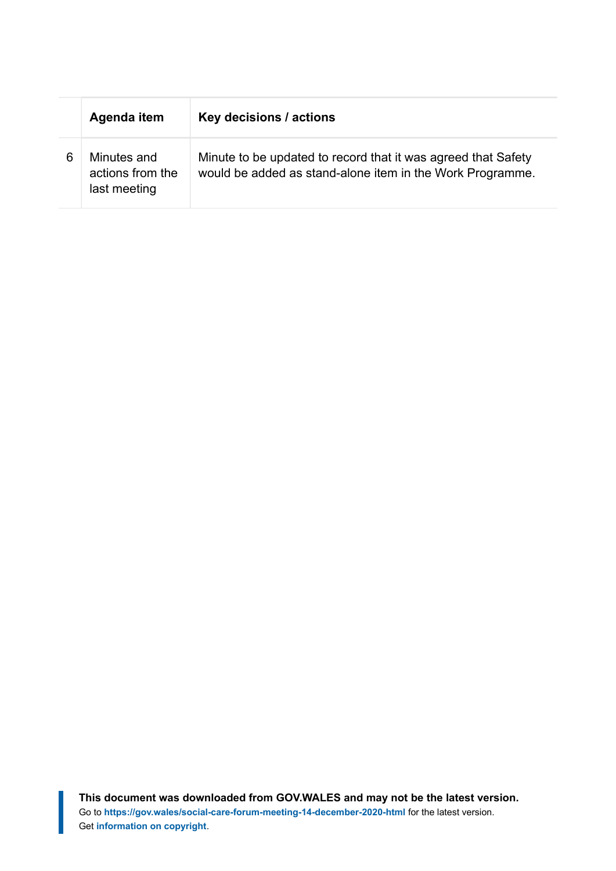|   | Agenda item                                     | Key decisions / actions                                                                                                    |
|---|-------------------------------------------------|----------------------------------------------------------------------------------------------------------------------------|
| 6 | Minutes and<br>actions from the<br>last meeting | Minute to be updated to record that it was agreed that Safety<br>would be added as stand-alone item in the Work Programme. |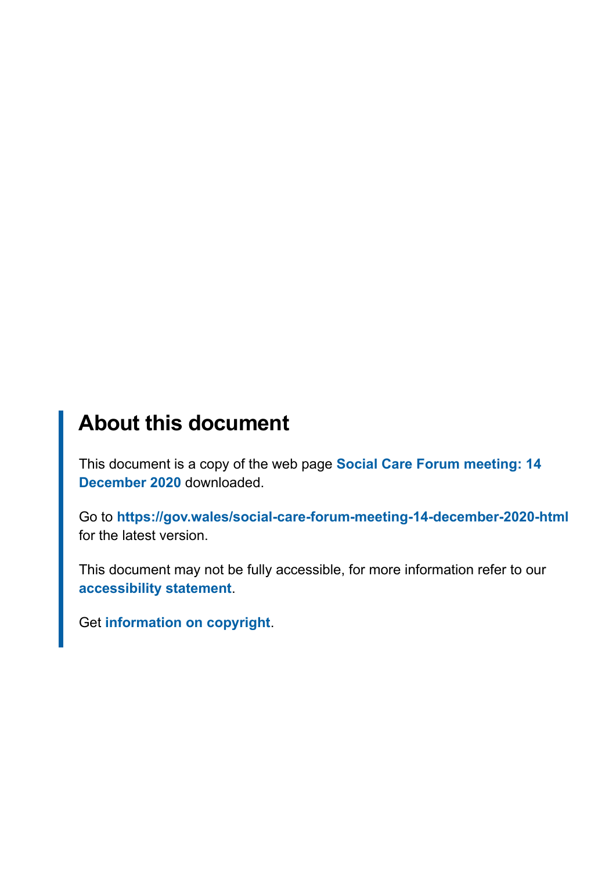## **About this document**

This document is a copy of the web page **[Social Care Forum meeting: 14](https://gov.wales/social-care-forum-meeting-14-december-2020-html) [December 2020](https://gov.wales/social-care-forum-meeting-14-december-2020-html)** downloaded.

Go to **<https://gov.wales/social-care-forum-meeting-14-december-2020-html>** for the latest version.

This document may not be fully accessible, for more information refer to our **[accessibility statement](https://gov.wales/accessibility-statement-govwales)**.

Get **[information on copyright](https://gov.wales/copyright-statement)**.